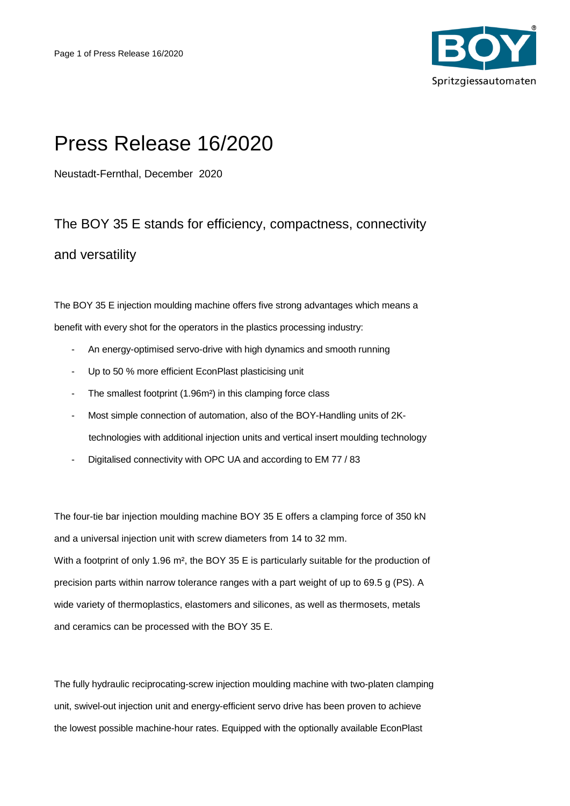

## Press Release 16/2020

Neustadt-Fernthal, December 2020

## The BOY 35 E stands for efficiency, compactness, connectivity and versatility

The BOY 35 E injection moulding machine offers five strong advantages which means a benefit with every shot for the operators in the plastics processing industry:

- An energy-optimised servo-drive with high dynamics and smooth running
- Up to 50 % more efficient EconPlast plasticising unit
- The smallest footprint (1.96m<sup>2</sup>) in this clamping force class
- Most simple connection of automation, also of the BOY-Handling units of 2Ktechnologies with additional injection units and vertical insert moulding technology
- Digitalised connectivity with OPC UA and according to EM 77 / 83

The four-tie bar injection moulding machine BOY 35 E offers a clamping force of 350 kN and a universal injection unit with screw diameters from 14 to 32 mm. With a footprint of only 1.96 m<sup>2</sup>, the BOY 35 E is particularly suitable for the production of precision parts within narrow tolerance ranges with a part weight of up to 69.5 g (PS). A wide variety of thermoplastics, elastomers and silicones, as well as thermosets, metals and ceramics can be processed with the BOY 35 E.

The fully hydraulic reciprocating-screw injection moulding machine with two-platen clamping unit, swivel-out injection unit and energy-efficient servo drive has been proven to achieve the lowest possible machine-hour rates. Equipped with the optionally available EconPlast